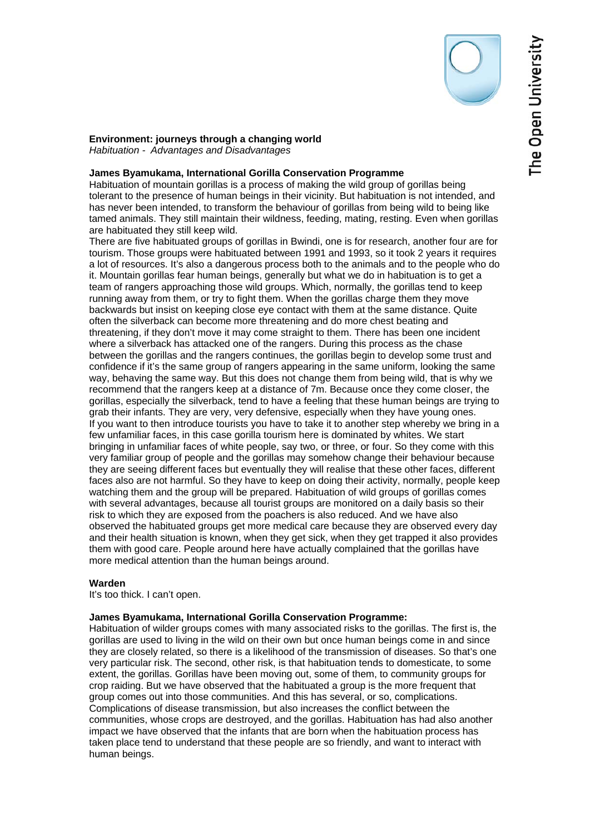**Environment: journeys through a changing world**  *Habituation - Advantages and Disadvantages* 

## **James Byamukama, International Gorilla Conservation Programme**

Habituation of mountain gorillas is a process of making the wild group of gorillas being tolerant to the presence of human beings in their vicinity. But habituation is not intended, and has never been intended, to transform the behaviour of gorillas from being wild to being like tamed animals. They still maintain their wildness, feeding, mating, resting. Even when gorillas are habituated they still keep wild.

There are five habituated groups of gorillas in Bwindi, one is for research, another four are for tourism. Those groups were habituated between 1991 and 1993, so it took 2 years it requires a lot of resources. It's also a dangerous process both to the animals and to the people who do it. Mountain gorillas fear human beings, generally but what we do in habituation is to get a team of rangers approaching those wild groups. Which, normally, the gorillas tend to keep running away from them, or try to fight them. When the gorillas charge them they move backwards but insist on keeping close eye contact with them at the same distance. Quite often the silverback can become more threatening and do more chest beating and threatening, if they don't move it may come straight to them. There has been one incident where a silverback has attacked one of the rangers. During this process as the chase between the gorillas and the rangers continues, the gorillas begin to develop some trust and confidence if it's the same group of rangers appearing in the same uniform, looking the same way, behaving the same way. But this does not change them from being wild, that is why we recommend that the rangers keep at a distance of 7m. Because once they come closer, the gorillas, especially the silverback, tend to have a feeling that these human beings are trying to grab their infants. They are very, very defensive, especially when they have young ones. If you want to then introduce tourists you have to take it to another step whereby we bring in a few unfamiliar faces, in this case gorilla tourism here is dominated by whites. We start bringing in unfamiliar faces of white people, say two, or three, or four. So they come with this very familiar group of people and the gorillas may somehow change their behaviour because they are seeing different faces but eventually they will realise that these other faces, different faces also are not harmful. So they have to keep on doing their activity, normally, people keep watching them and the group will be prepared. Habituation of wild groups of gorillas comes with several advantages, because all tourist groups are monitored on a daily basis so their risk to which they are exposed from the poachers is also reduced. And we have also observed the habituated groups get more medical care because they are observed every day and their health situation is known, when they get sick, when they get trapped it also provides them with good care. People around here have actually complained that the gorillas have more medical attention than the human beings around.

## **Warden**

It's too thick. I can't open.

## **James Byamukama, International Gorilla Conservation Programme:**

Habituation of wilder groups comes with many associated risks to the gorillas. The first is, the gorillas are used to living in the wild on their own but once human beings come in and since they are closely related, so there is a likelihood of the transmission of diseases. So that's one very particular risk. The second, other risk, is that habituation tends to domesticate, to some extent, the gorillas. Gorillas have been moving out, some of them, to community groups for crop raiding. But we have observed that the habituated a group is the more frequent that group comes out into those communities. And this has several, or so, complications. Complications of disease transmission, but also increases the conflict between the communities, whose crops are destroyed, and the gorillas. Habituation has had also another impact we have observed that the infants that are born when the habituation process has taken place tend to understand that these people are so friendly, and want to interact with human beings.